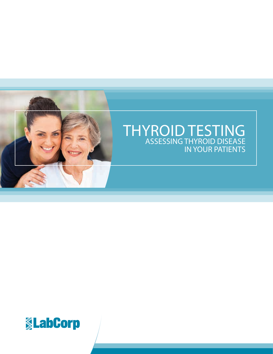

### THYROID TESTING ASSESSING THYROID DISEASE IN YOUR PATIENTS

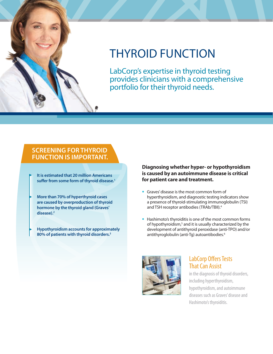

# THYROID FUNCTION

LabCorp's expertise in thyroid testing provides clinicians with a comprehensive portfolio for their thyroid needs.

### **SCREENING FOR THYROID FUNCTION IS IMPORTANT.**

**It is estimated that 20 million Americans suffer from some form of thyroid disease.1**

**More than 70% of hyperthyroid cases are caused by overproduction of thyroid hormone by the thyroid gland (Graves' disease).2**

**Hypothyroidism accounts for approximately 80% of patients with thyroid disorders.3**

#### **Diagnosing whether hyper- or hypothyroidism is caused by an autoimmune disease is critical for patient care and treatment.**

- **•** Graves' disease is the most common form of hyperthyroidism, and diagnostic testing indicators show a presence of thyroid-stimulating immunoglobulin (TSI) and TSH receptor antibodies (TRAb/TBII).<sup>4</sup>
- **•** Hashimoto's thyroiditis is one of the most common forms of hypothyroidism,<sup>5</sup> and it is usually characterized by the development of antithyroid peroxidase (anti-TPO) and/or antithyroglobulin (anti-Tg) autoantibodies.<sup>6</sup>



### LabCorp Offers Tests That Can Assist

in the diagnosis of thyroid disorders, including hyperthyroidism, hypothyroidism, and autoimmune diseases such as Graves' disease and Hashimoto's thyroiditis.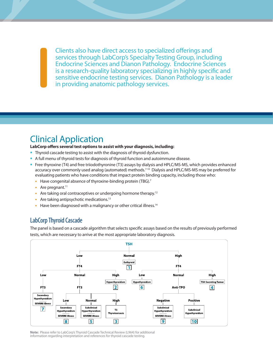Clients also have direct access to specialized offerings and services through LabCorp's Specialty Testing Group, including Endocrine Sciences and Dianon Pathology. Endocrine Sciences is a research-quality laboratory specializing in highly specific and sensitive endocrine testing services. Dianon Pathology is a leader in providing anatomic pathology services.

### Clinical Application

#### **LabCorp offers several test options to assist with your diagnosis, including:**

- **•** Thyroid cascade testing to assist with the diagnosis of thyroid dysfunction.
- **•** A full menu of thyroid tests for diagnosis of thyroid function and autoimmune disease.
- **•** Free thyroxine (T4) and free triiodothyronine (T3) assays by dialysis and HPLC/MS-MS, which provides enhanced accuracy over commonly used analog (automated) methods.<sup>7-10</sup> Dialysis and HPLC/MS-MS may be preferred for evaluating patients who have conditions that impact protein binding capacity, including those who:
	- **•** Have congenital absence of thyroxine-binding protein (TBG).7
	- Are pregnant.<sup>11</sup>
	- Are taking oral contraceptives or undergoing hormone therapy.<sup>12</sup>
	- Are taking antipsychotic medications.<sup>13</sup>
	- Have been diagnosed with a malignancy or other critical illness.<sup>14</sup>

### LabCorp Thyroid Cascade

The panel is based on a cascade algorithm that selects specific assays based on the results of previously performed tests, which are necessary to arrive at the most appropriate laboratory diagnosis.



**Note:** Please refer to LabCorp's Thyroid Cascade Technical Review (L964) for additional information regarding interpretation and references for thyroid cascade testing.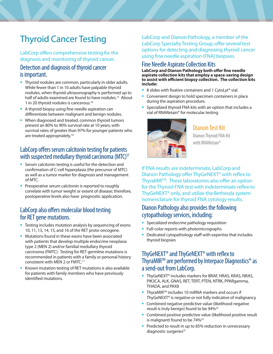### Thyroid Cancer Testing

#### LabCorp offers comprehensive testing for the diagnosis and monitoring of thyroid cancer.

### Detection and diagnosis of thyroid cancer is important.

- **•** Thyroid nodules are common, particularly in older adults. While fewer than 1 in 10 adults have palpable thyroid nodules, when thyroid ultrasonography is performed up to half of adults examined are found to have nodules.<sup>15</sup> About 1 in 20 thyroid nodules is cancerous.16
- **•** A thyroid biopsy using fine needle aspiration can differentiate between malignant and benign nodules.
- **•** When diagnosed and treated, common thyroid tumors present an 80% to 90% survival rate at 10 years, with survival rates of greater than 97% for younger patients who are treated appropriately.<sup>16</sup>

### LabCorp offers serum calcitonin testing for patients with suspected medullary thyroid carcinoma (MTC)<sup>17</sup>

- **•** Serum calcitonin testing is useful for the detection and confirmation of C-cell hyperplasia (the precursor of MTC) as well as a tumor marker for diagnosis and management of MTC.
- **•** Preoperative serum calcitonin is reported to roughly correlate with tumor weight or extent of disease; therefore, postoperative levels also have prognostic application.

### LabCorp also offers molecular blood testing for RET gene mutations.

- **•** Testing includes mutation analysis by sequencing of exons 10, 11, 13, 14, 15, and 16 of the RET proto-oncogene.
- **•** Mutations found in these exons have been associated with patients that develop multiple endocrine neoplasia type 2 (MEN 2) and/or familial medullary thyroid carcinoma (FMTC). Testing for RET germline mutations is recommended in patients with a family or personal history consistent with MEN 2 or FMTC.17
- **•** Known mutation testing of RET mutations is also available for patients with family members who have previously identified mutations.

LabCorp and Dianon Pathology, a member of the LabCorp Specialty Testing Group, offer several test options for detecting and diagnosing thyroid cancer using fine needle aspiration (FNA) biopsies.

### Fine Needle Aspirate Collection Kits

**LabCorp and Dianon Pathology both offer fine needle aspirate collection kits that employ a space-saving design to assist with efficient biopsy collection. The collection kits include:**

- **•** 8 slides with fixative containers and 1 CytoLyt® vial.
- **•** Convenient design to hold specimen containers in place during the aspiration procedure.
- **•** Specialized thyroid FNA kits with an option that includes a vial of RNARetain® for molecular testing



### Dianon Test Kit

Dianon Thyroid FNA Kit with RNARetain®

If FNA results are indeterminate, LabCorp and Dianon Pathology offer ThyGeNEXT® with reflex to ThyraMIR<sup>™</sup>. These laboratories also offer an option for the Thyroid FNA test with indeterminate reflex to ThyGeNEXT® only, and utilize the Bethesda system nomenclature for thyroid FNA cytology results.

### Dianon Pathology also provides the following cytopathology services, including:

- **•** Specialized endocrine pathology requisition
- **•** Full-color reports with photomicrographs
- **•** Dedicated cytopathology staff with expertise that includes thyroid biopsies

### ThyGeNEXT® and ThyGeNEXT® with reflex to ThyraMIRTM are performed by Interpace Diagnostics® as a send-out from LabCorp.

- **•** ThyGeNEXT® includes markers for BRAF, HRAS, KRAS, NRAS, PIK3CA, ALK, GNAS, RET, TERT, PTEN, NTRK, PPARgamma, THADA, and PAX8
- **•** ThyraMIRTM includes 10 miRNA markers and occurs if ThyGeNEXT® is negative or not fully indicative of malignancy
- **•** Combined negative predictive value (likelihood negative result is truly benign) found to be 94%22
- **•** Combined positive predictive value (likelihood positive result is malignant) found to be 74%<sup>22</sup>
- **•** Predicted to result in up to 85% reduction in unnecessary diagnostic surgeries<sup>22</sup>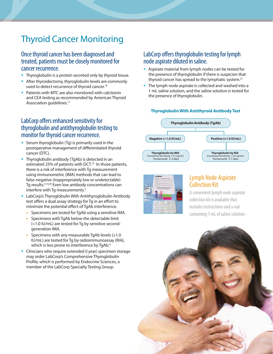### Thyroid Cancer Monitoring

### Once thyroid cancer has been diagnosed and treated, patients must be closely monitored for cancer recurrence.

- **•** Thyroglobulin is a protein secreted only by thyroid tissue.
- **•** After thyroidectomy, thyroglobulin levels are commonly used to detect recurrence of thyroid cancer.<sup>18</sup>
- **•** Patients with MTC are also monitored with calcitonin and CEA testing as recommended by American Thyroid Association guidelines.<sup>17</sup>

### LabCorp offers enhanced sensitivity for thyroglobulin and antithyroglobulin testing to monitor for thyroid cancer recurrence.

- **•** Serum thyroglobulin (Tg) is primarily used in the postoperative management of differentiated thyroid cancer (DTC).
- **•** Thyroglobulin antibody (TgAb) is detected in an estimated 25% of patients with DCT.<sup>19</sup> In those patients, there is a risk of interference with Tg measurement using immunometric (IMA) methods that can lead to false-negative (inappropriately low or undetectable) Tg results.4,19,20 Even low antibody concentrations can interfere with Tg measurements.4
- **•** LabCorp's Thyroglobulin With Antithyroglobulin Antibody test offers a dual assay strategy for Tg in an effort to minimize the potential effect of TgAb interference.
	- **•** Specimens are tested for TgAb using a sensitive IMA.
	- **•** Specimens with TgAb below the detectable limit (<1.0 IU/mL) are tested for Tg by sensitive secondgeneration IMA.
	- **•** Specimens with any measurable TgAb levels (≥1.0 IU/mL) are tested for Tg by radioimmunoassay (RIA), which is less prone to interference by TgAb.<sup>4</sup>
- **•** Clinicians who require extended (I year) specimen storage may order LabCorp's Comprehensive Thyroglobulin Profile, which is performed by Endocrine Sciences, a member of the LabCorp Specialty Testing Group.

### LabCorp offers thyroglobulin testing for lymph node aspirate diluted in saline.

- **•** Aspirate material from lymph nodes can be tested for the presence of thyroglobulin if there is suspicion that thyroid cancer has spread to the lymphatic system.<sup>21</sup>
- **•** The lymph node aspirate is collected and washed into a 1 mL saline solution, and the saline solution is tested for the presence of thyroglobulin.

#### **Thyroglobulin With Antithyroid Antibody Test**





### Lymph Node Aspirate Collection Kit

A convenient lymph node aspirate collection kit is available that includes instructions and a vial containing 1 mL of saline solution.

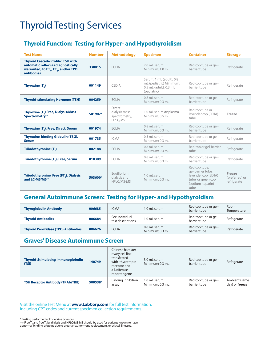## Thyroid Testing Services

### **Thyroid Function: Testing for Hyper- and Hypothyroidism**

| <b>Test Name</b>                                                                                                                                   | <b>Number</b> | <b>Methodology</b>                                         | <b>Specimen</b>                                                                              | <b>Container</b>                                                                                            | <b>Storage</b>                          |
|----------------------------------------------------------------------------------------------------------------------------------------------------|---------------|------------------------------------------------------------|----------------------------------------------------------------------------------------------|-------------------------------------------------------------------------------------------------------------|-----------------------------------------|
| <b>Thyroid Cascade Profile: TSH with</b><br>automatic reflex (as diagnostically<br>warranted) to $FT_a$ , $FT_a$ , and/or TPO<br><b>antibodies</b> | 330015        | <b>ECLIA</b>                                               | 2.0 mL serum<br>Minimum: 1.0 mL                                                              | Red-top tube or gel-<br>barrier tube                                                                        | Refrigerate                             |
| Thyroxine $(T_a)$                                                                                                                                  | 001149        | CEDIA                                                      | Serum: 1 mL (adult), 0.8<br>mL (pediatric) Minimum:<br>0.5 mL (adult), 0.3 mL<br>(pediatric) | Red-top tube or gel-<br>barrier tube                                                                        | Refrigerate                             |
| <b>Thyroid-stimulating Hormone (TSH)</b>                                                                                                           | 004259        | <b>ECLIA</b>                                               | 0.8 mL serum<br>Minimum: 0.3 mL                                                              | Red-top tube or gel-<br>barrier tube                                                                        | Refrigerate                             |
| Thyroxine $(T_a)$ Free, Dialysis/Mass<br>Spectrometry <sup>++</sup>                                                                                | 501902*       | Direct<br>dialysis mass<br>spectrometry;<br><b>HPLC/MS</b> | 1.0 mL serum or plasma<br>Minimum: 0.5 mL                                                    | Red-top tube or<br>lavender-top (EDTA)<br>tube                                                              | Freeze                                  |
| Thyroxine $(T_a)$ , Free, Direct, Serum                                                                                                            | 001974        | <b>ECLIA</b>                                               | 0.8 mL serum<br>Minimum: 0.3 mL                                                              | Red-top tube or gel-<br>barrier tube                                                                        | Refrigerate                             |
| <b>Thyroxine-binding Globulin (TBG),</b><br><b>Serum</b>                                                                                           | 001735        | <b>ICMA</b>                                                | 0.5 mL serum<br>Minimum: 0.3 mL                                                              | Red-top tube or gel-<br>barrier tube                                                                        | Refrigerate                             |
| Triiodothyronine $(T_3)$                                                                                                                           | 002188        | <b>ECLIA</b>                                               | 0.8 mL serum<br>Minimum: 0.3 mL                                                              | Red-top or gel-barrier<br>tube                                                                              | Refrigerate                             |
| Triiodothyronine (T <sub>3</sub> ), Free, Serum                                                                                                    | 010389        | <b>ECLIA</b>                                               | 0.8 mL serum<br>Minimum: 0.3 mL                                                              | Red-top tube or gel-<br>barrier tube                                                                        | Refrigerate                             |
| Triiodothyronine, Free (FT <sub>3</sub> ), Dialysis<br>and LC-MS/MS <sup>++</sup>                                                                  | 503600*       | Equilibrium<br>dialysis and<br>HPLC/MS-MS                  | 1.0 mL serum<br>Minimum: 0.3 mL                                                              | Red-top tube,<br>gel-barrier tube,<br>lavender-top (EDTA)<br>tube, or green-top<br>(sodium heparin)<br>tube | Freeze<br>(preferred) or<br>refrigerate |

### **General Autoimmune Screen: Testing for Hyper- and Hypothyroidism**

| <b>Thyroglobulin Antibody</b>              | 006685 | <b>ICMA</b>                         | 1.0 mL serum                    | Red-top tube or gel-<br>barrier tube | Room<br>Temperature |
|--------------------------------------------|--------|-------------------------------------|---------------------------------|--------------------------------------|---------------------|
| <b>Thyroid Antibodies</b>                  | 006684 | See individual<br>test descriptions | 1.0 mL serum                    | Red-top tube or gel-<br>barrier tube | Refrigerate         |
| <b>Thyroid Peroxidase (TPO) Antibodies</b> | 006676 | <b>ECLIA</b>                        | 0.8 mL serum<br>Minimum: 0.3 mL | Red-top tube or gel-<br>barrier tube | Refrigerate         |

### **Graves' Disease Autoimmune Screen**

| <b>Thyroid-Stimulating Immunoglobulin</b><br>(TSI) | 140749  | Chinese hamster<br>ovary cell line<br>transfected<br>with thyrotropin<br>receptor and<br>a luciferase<br>reporter gene | 3.0 mL serum<br>Minimum: 0.3 mL | Red-top tube or gel-<br>barrier tube | Refrigerate                            |
|----------------------------------------------------|---------|------------------------------------------------------------------------------------------------------------------------|---------------------------------|--------------------------------------|----------------------------------------|
| <b>TSH Receptor Antibody (TRAb/TBII)</b>           | 500538* | <b>Binding inhibition</b><br>assay                                                                                     | 1.0 mL serum<br>Minimum: 0.3 mL | Red-top tube or gel-<br>barrier tube | Ambient (same<br>day) or <b>freeze</b> |

Visit the online Test Menu at **www.LabCorp.com** for full test information, including CPT codes and current specimen collection requirements.

\* Testing performed at Endocrine Sciences.<br>++ Free T, and free T, by dialysis and HPLC/MS-MS should be used for patients known to have<br>abnormal binding proteins due to pregnancy, hormone replacement, or critical illnesses.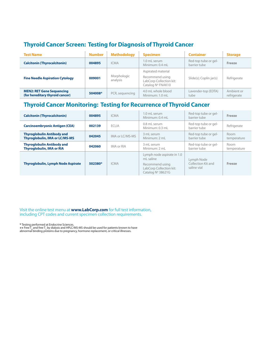### **Thyroid Cancer Screen: Testing for Diagnosis of Thyroid Cancer**

| <b>Test Name</b>                                                    | <b>Number</b> | <b>Methodology</b>      | <b>Specimen</b>                                                                       | <b>Container</b>                     | <b>Storage</b>            |
|---------------------------------------------------------------------|---------------|-------------------------|---------------------------------------------------------------------------------------|--------------------------------------|---------------------------|
| <b>Calcitonin (Thyrocalcitonin)</b>                                 | 004895        | <b>ICMA</b>             | 1.0 mL serum<br>Minimum: 0.4 mL                                                       | Red-top tube or gel-<br>barrier tube | Freeze                    |
| <b>Fine Needle Aspiration Cytology</b>                              | 009001        | Morphologic<br>analysis | Aspirated material<br>Recommend using<br>LabCorp Collection kit:<br>Catalog Nº FNAK10 | Slide(s); Coplin jar(s)              | Refrigerate               |
| <b>MEN2: RET Gene Sequencing</b><br>(for hereditary thyroid cancer) | 504008*       | PCR, sequencing         | 4.0 mL whole blood<br>Minimum: 1.0 mL                                                 | Lavender-top (EDTA)<br>tube          | Ambient or<br>refrigerate |

### **Thyroid Cancer Monitoring: Testing for Recurrence of Thyroid Cancer**

| <b>Calcitonin (Thyrocalcitonin)</b>                                        | 004895  | <b>ICMA</b>     | 1.0 mL serum<br>Minimum: 0.4 mL                                                                            | Red-top tube or gel-<br>barrier tube            | Freeze              |
|----------------------------------------------------------------------------|---------|-----------------|------------------------------------------------------------------------------------------------------------|-------------------------------------------------|---------------------|
| <b>Carcinoembryonic Antigen (CEA)</b>                                      | 002139  | <b>ECLIA</b>    | 0.8 mL serum<br>Minimum: 0.3 mL                                                                            | Red-top tube or gel-<br>barrier tube            | Refrigerate         |
| <b>Thyroglobulin Antibody and</b><br><b>Thyroglobulin, IMA or LC/MS-MS</b> | 042045  | IMA or LC/MS-MS | 3 mL serum<br>Minimum: 2 mL                                                                                | Red-top tube or gel-<br>barrier tube            | Room<br>temperature |
| <b>Thyroglobulin Antibody and</b><br><b>Thyroglobulin, IMA or RIA</b>      | 042060  | IMA or RIA      | 3 mL serum<br>Minimum: 2 mL                                                                                | Red-top tube or gel-<br>barrier tube            | Room<br>temperature |
| <b>Thyroglobulin, Lymph Node Aspirate</b>                                  | 502380* | <b>ICMA</b>     | Lymph node aspirate in 1.0<br>mL saline<br>Recommend using<br>LabCorp Collection kit:<br>Catalog Nº 38621G | Lymph Node<br>Collection Kit and<br>saline vial | Freeze              |

Visit the online test menu at **www.LabCorp.com** for full test information, including CPT codes and current specimen collection requirements.

\* Testing performed at Endocrine Sciences.<br>++ Free T and free T , by dialysis and HPLC/MS-MS should be used for patients known to have<br>abnormal binding proteins due to pregnancy, hormone replacement, or critical illnesses.